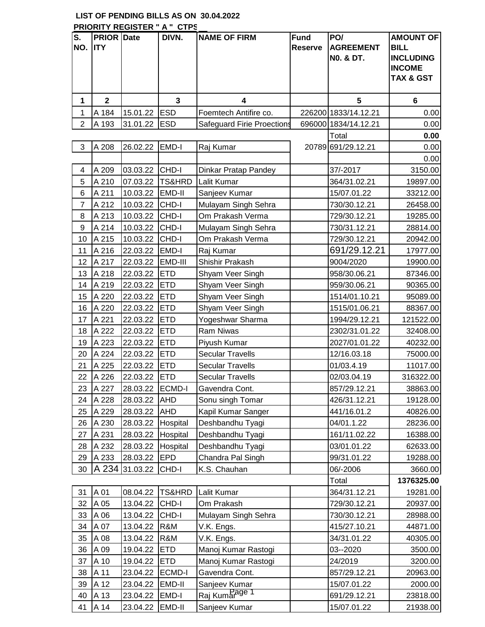## **LIST OF PENDING BILLS AS ON 30.04.2022 PRIORITY REGISTER " A " CTPS**

| S.<br>NO.      | <b>PRIOR Date</b><br><b>IITY</b> |          | DIVN.             | <b>NAME OF FIRM</b>               | <b>Fund</b><br><b>Reserve</b> | PO/<br><b>AGREEMENT</b><br><b>NO. &amp; DT.</b> | <b>AMOUNT OF</b><br><b>BILL</b><br><b>INCLUDING</b><br><b>INCOME</b><br><b>TAX &amp; GST</b> |
|----------------|----------------------------------|----------|-------------------|-----------------------------------|-------------------------------|-------------------------------------------------|----------------------------------------------------------------------------------------------|
| 1              | $\overline{\mathbf{2}}$          |          | 3                 | 4                                 |                               | 5                                               | 6                                                                                            |
| 1              | A 184                            | 15.01.22 | <b>ESD</b>        | Foemtech Antifire co.             |                               | 226200 1833/14.12.21                            | 0.00                                                                                         |
| $\overline{2}$ | A 193                            | 31.01.22 | <b>ESD</b>        | <b>Safeguard Firie Proections</b> |                               | 696000 1834/14.12.21                            | 0.00                                                                                         |
|                |                                  |          |                   |                                   |                               | Total                                           | 0.00                                                                                         |
| 3              | A 208                            | 26.02.22 | EMD-I             | Raj Kumar                         |                               | 20789 691/29.12.21                              | 0.00                                                                                         |
|                |                                  |          |                   |                                   |                               |                                                 | 0.00                                                                                         |
| 4              | A 209                            | 03.03.22 | CHD-I             | Dinkar Pratap Pandey              |                               | 37/-2017                                        | 3150.00                                                                                      |
| 5              | A 210                            | 07.03.22 | TS&HRD            | Lalit Kumar                       |                               | 364/31.02.21                                    | 19897.00                                                                                     |
| 6              | A 211                            | 10.03.22 | EMD-II            | Sanjeev Kumar                     |                               | 15/07.01.22                                     | 33212.00                                                                                     |
| $\overline{7}$ | A 212                            | 10.03.22 | CHD-I             | Mulayam Singh Sehra               |                               | 730/30.12.21                                    | 26458.00                                                                                     |
| 8              | A 213                            | 10.03.22 | CHD-I             | Om Prakash Verma                  |                               | 729/30.12.21                                    | 19285.00                                                                                     |
| $9$            | A 214                            | 10.03.22 | CHD-I             | Mulayam Singh Sehra               |                               | 730/31.12.21                                    | 28814.00                                                                                     |
| 10             | A 215                            | 10.03.22 | CHD-I             | Om Prakash Verma                  |                               | 729/30.12.21                                    | 20942.00                                                                                     |
| 11             | A 216                            | 22.03.22 | EMD-I             | Raj Kumar                         |                               | 691/29.12.21                                    | 17977.00                                                                                     |
| 12             | A 217                            | 22.03.22 | EMD-III           | Shishir Prakash                   |                               | 9004/2020                                       | 19900.00                                                                                     |
| 13             | A 218                            | 22.03.22 | <b>ETD</b>        | Shyam Veer Singh                  |                               | 958/30.06.21                                    | 87346.00                                                                                     |
| 14             | A 219                            | 22.03.22 | <b>ETD</b>        | Shyam Veer Singh                  |                               | 959/30.06.21                                    | 90365.00                                                                                     |
| 15             | A 220                            | 22.03.22 | <b>ETD</b>        | Shyam Veer Singh                  |                               | 1514/01.10.21                                   | 95089.00                                                                                     |
| 16             | A 220                            | 22.03.22 | <b>ETD</b>        | Shyam Veer Singh                  |                               | 1515/01.06.21                                   | 88367.00                                                                                     |
| 17             | A 221                            | 22.03.22 | <b>ETD</b>        | Yogeshwar Sharma                  |                               | 1994/29.12.21                                   | 121522.00                                                                                    |
| 18             | A 222                            | 22.03.22 | <b>ETD</b>        | <b>Ram Niwas</b>                  |                               | 2302/31.01.22                                   | 32408.00                                                                                     |
| 19             | A 223                            | 22.03.22 | <b>ETD</b>        | Piyush Kumar                      |                               | 2027/01.01.22                                   | 40232.00                                                                                     |
| 20             | A 224                            | 22.03.22 | <b>ETD</b>        | <b>Secular Travells</b>           |                               | 12/16.03.18                                     | 75000.00                                                                                     |
| 21             | A 225                            | 22.03.22 | <b>ETD</b>        | <b>Secular Travells</b>           |                               | 01/03.4.19                                      | 11017.00                                                                                     |
| 22             | A 226                            | 22.03.22 | <b>ETD</b>        | <b>Secular Travells</b>           |                               | 02/03.04.19                                     | 316322.00                                                                                    |
| 23             | A 227                            | 28.03.22 | <b>ECMD-I</b>     | Gavendra Cont.                    |                               | 857/29.12.21                                    | 38863.00                                                                                     |
| 24             | A 228                            | 28.03.22 | <b>AHD</b>        | Sonu singh Tomar                  |                               | 426/31.12.21                                    | 19128.00                                                                                     |
| 25             | A 229                            | 28.03.22 | AHD               | Kapil Kumar Sanger                |                               | 441/16.01.2                                     | 40826.00                                                                                     |
| 26             | A 230                            | 28.03.22 | Hospital          | Deshbandhu Tyagi                  |                               | 04/01.1.22                                      | 28236.00                                                                                     |
| 27             | A 231                            | 28.03.22 | Hospital          | Deshbandhu Tyagi                  |                               | 161/11.02.22                                    | 16388.00                                                                                     |
| 28             | A 232                            | 28.03.22 | Hospital          | Deshbandhu Tyagi                  |                               | 03/01.01.22                                     | 62633.00                                                                                     |
| 29             | A 233                            | 28.03.22 | <b>EPD</b>        | Chandra Pal Singh                 |                               | 99/31.01.22                                     | 19288.00                                                                                     |
| 30             | A 234                            | 31.03.22 | CHD-I             | K.S. Chauhan                      |                               | 06/-2006                                        | 3660.00                                                                                      |
|                |                                  |          |                   |                                   |                               | Total                                           | 1376325.00                                                                                   |
| 31             | A 01                             | 08.04.22 | <b>TS&amp;HRD</b> | Lalit Kumar                       |                               | 364/31.12.21                                    | 19281.00                                                                                     |
| 32             | A 05                             | 13.04.22 | CHD-I             | Om Prakash                        |                               | 729/30.12.21                                    | 20937.00                                                                                     |
| 33             | A 06                             | 13.04.22 | CHD-I             | Mulayam Singh Sehra               |                               | 730/30.12.21                                    | 28988.00                                                                                     |
| 34             | A 07                             | 13.04.22 | R&M               | V.K. Engs.                        |                               | 415/27.10.21                                    | 44871.00                                                                                     |
| 35             | A 08                             | 13.04.22 | R&M               | V.K. Engs.                        |                               | 34/31.01.22                                     | 40305.00                                                                                     |
| 36             | A 09                             | 19.04.22 | <b>ETD</b>        | Manoj Kumar Rastogi               |                               | 03--2020                                        | 3500.00                                                                                      |
| 37             | A 10                             | 19.04.22 | <b>ETD</b>        | Manoj Kumar Rastogi               |                               | 24/2019                                         | 3200.00                                                                                      |
| 38             | A 11                             | 23.04.22 | <b>ECMD-I</b>     | Gavendra Cont.                    |                               | 857/29.12.21                                    | 20963.00                                                                                     |
| 39             | A 12                             | 23.04.22 | EMD-II            | Sanjeev Kumar                     |                               | 15/07.01.22                                     | 2000.00                                                                                      |
| 40             | A 13                             | 23.04.22 | EMD-I             | Raj Kumar <sup>age 1</sup>        |                               | 691/29.12.21                                    | 23818.00                                                                                     |
| 41             | A 14                             | 23.04.22 | EMD-II            | Sanjeev Kumar                     |                               | 15/07.01.22                                     | 21938.00                                                                                     |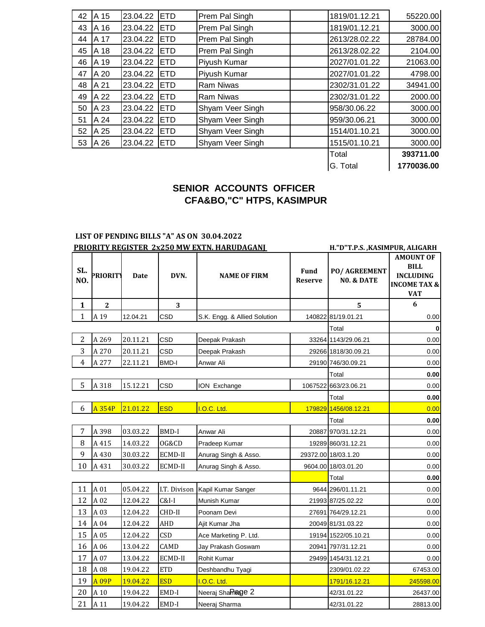| A 15 | 23.04.22 | <b>ETD</b> | Prem Pal Singh   | 1819/01.12.21 | 55220.00   |
|------|----------|------------|------------------|---------------|------------|
| A 16 | 23.04.22 | <b>ETD</b> | Prem Pal Singh   | 1819/01.12.21 | 3000.00    |
| A 17 | 23.04.22 | <b>ETD</b> | Prem Pal Singh   | 2613/28.02.22 | 28784.00   |
| A 18 | 23.04.22 | <b>ETD</b> | Prem Pal Singh   | 2613/28.02.22 | 2104.00    |
| A 19 | 23.04.22 | <b>ETD</b> | Piyush Kumar     | 2027/01.01.22 | 21063.00   |
| A 20 | 23.04.22 | <b>ETD</b> | Piyush Kumar     | 2027/01.01.22 | 4798.00    |
| A 21 | 23.04.22 | <b>ETD</b> | <b>Ram Niwas</b> | 2302/31.01.22 | 34941.00   |
| A 22 | 23.04.22 | <b>ETD</b> | <b>Ram Niwas</b> | 2302/31.01.22 | 2000.00    |
| A 23 | 23.04.22 | <b>ETD</b> | Shyam Veer Singh | 958/30.06.22  | 3000.00    |
| A 24 | 23.04.22 | <b>ETD</b> | Shyam Veer Singh | 959/30.06.21  | 3000.00    |
| A 25 | 23.04.22 | <b>ETD</b> | Shyam Veer Singh | 1514/01.10.21 | 3000.00    |
| A 26 | 23.04.22 | <b>ETD</b> | Shyam Veer Singh | 1515/01.10.21 | 3000.00    |
|      |          |            |                  | Total         | 393711.00  |
|      |          |            |                  | G. Total      | 1770036.00 |
|      |          |            |                  |               |            |

## **SENIOR ACCOUNTS OFFICER CFA&BO,"C" HTPS, KASIMPUR**

## **LIST OF PENDING BILLS "A" AS ON 30.04.2022**

|                | <b>PRIORITY REGISTER 2x250 MW EXTN. HARUDAGANJ</b> |             |              |                              |                               | H."D"T.P.S. , KASIMPUR, ALIGARH |                                                                                              |
|----------------|----------------------------------------------------|-------------|--------------|------------------------------|-------------------------------|---------------------------------|----------------------------------------------------------------------------------------------|
| SL.<br>NO.     | PRIORITY                                           | <b>Date</b> | DVN.         | <b>NAME OF FIRM</b>          | <b>Fund</b><br><b>Reserve</b> | PO/ AGREEMENT<br>NO. & DATE     | <b>AMOUNT OF</b><br><b>BILL</b><br><b>INCLUDING</b><br><b>INCOME TAX &amp;</b><br><b>VAT</b> |
| $\mathbf{1}$   | $\overline{2}$                                     |             | 3            |                              |                               | 5                               | 6                                                                                            |
| $\mathbf{1}$   | A 19                                               | 12.04.21    | CSD          | S.K. Engg. & Allied Solution |                               | 140822 81/19.01.21              | 0.00                                                                                         |
|                |                                                    |             |              |                              |                               | Total                           |                                                                                              |
| $\overline{2}$ | A 269                                              | 20.11.21    | CSD          | Deepak Prakash               |                               | 33264 1143/29.06.21             | 0.00                                                                                         |
| 3              | A 270                                              | 20.11.21    | CSD          | Deepak Prakash               |                               | 29266 1818/30.09.21             | 0.00                                                                                         |
| $\overline{4}$ | A 277                                              | 22.11.21    | <b>BMD-I</b> | Anwar Ali                    |                               | 29190 746/30.09.21              | 0.00                                                                                         |
|                |                                                    |             |              |                              |                               | Total                           | 0.00                                                                                         |
| 5              | A 318                                              | 15.12.21    | CSD          | ION Exchange                 |                               | 1067522 663/23.06.21            | 0.00                                                                                         |
|                |                                                    |             |              |                              |                               | Total                           | 0.00                                                                                         |
| 6              | A 354P                                             | 21.01.22    | <b>ESD</b>   | I.O.C. Ltd.                  |                               | 179829 1456/08.12.21            | 0.00                                                                                         |
|                |                                                    |             |              |                              |                               | Total                           | 0.00                                                                                         |
| 7              | A 398                                              | 03.03.22    | <b>BMD-I</b> | Anwar Ali                    |                               | 20887 970/31.12.21              | 0.00                                                                                         |
| 8              | A 415                                              | 14.03.22    | OG&CD        | Pradeep Kumar                |                               | 19289 860/31.12.21              | 0.00                                                                                         |
| 9              | A 430                                              | 30.03.22    | ECMD-II      | Anurag Singh & Asso.         |                               | 29372.00 18/03.1.20             | 0.00                                                                                         |
| 10             | A 431                                              | 30.03.22    | ECMD-II      | Anurag Singh & Asso.         |                               | 9604.00 18/03.01.20             | 0.00                                                                                         |
|                |                                                    |             |              |                              |                               | Total                           | 0.00                                                                                         |
| 11             | A 01                                               | 05.04.22    | I.T. Divison | Kapil Kumar Sanger           |                               | 9644 296/01.11.21               | 0.00                                                                                         |
| 12             | A 02                                               | 12.04.22    | $C&I-I$      | Munish Kumar                 |                               | 21993 87/25.02.22               | 0.00                                                                                         |
| 13             | A 03                                               | 12.04.22    | CHD-II       | Poonam Devi                  |                               | 27691 764/29.12.21              | 0.00                                                                                         |
| 14             | A 04                                               | 12.04.22    | AHD          | Ajit Kumar Jha               |                               | 20049 81/31.03.22               | 0.00                                                                                         |
| 15             | A 05                                               | 12.04.22    | CSD          | Ace Marketing P. Ltd.        |                               | 19194 1522/05.10.21             | 0.00                                                                                         |
| 16             | A 06                                               | 13.04.22    | CAMD         | Jay Prakash Goswam           |                               | 20941 797/31.12.21              | 0.00                                                                                         |
| 17             | A 07                                               | 13.04.22    | ECMD-II      | Rohit Kumar                  |                               | 29499 1454/31.12.21             | 0.00                                                                                         |
| 18             | A 08                                               | 19.04.22    | <b>ETD</b>   | Deshbandhu Tyagi             |                               | 2309/01.02.22                   | 67453.00                                                                                     |
| 19             | <b>A09P</b>                                        | 19.04.22    | <b>ESD</b>   | I.O.C. Ltd.                  |                               | 1791/16.12.21                   | 245598.00                                                                                    |
| 20             | A 10                                               | 19.04.22    | EMD-I        | Neeraj Shamage 2             |                               | 42/31.01.22                     | 26437.00                                                                                     |
| 21             | A 11                                               | 19.04.22    | EMD-I        | Neeraj Sharma                |                               | 42/31.01.22                     | 28813.00                                                                                     |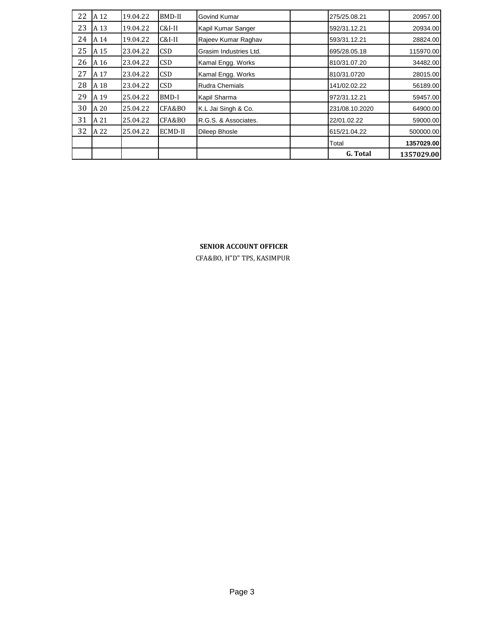| 22 | A 12 | 19.04.22 | BMD-II     | Govind Kumar           | 275/25.08.21   | 20957.00   |
|----|------|----------|------------|------------------------|----------------|------------|
| 23 | A 13 | 19.04.22 | $C&I-II$   | Kapil Kumar Sanger     | 592/31.12.21   | 20934.00   |
| 24 | A 14 | 19.04.22 | $C&I-II$   | Rajeev Kumar Raghav    | 593/31.12.21   | 28824.00   |
| 25 | A 15 | 23.04.22 | <b>CSD</b> | Grasim Industries Ltd. | 695/28.05.18   | 115970.00  |
| 26 | A 16 | 23.04.22 | <b>CSD</b> | Kamal Engg. Works      | 810/31.07.20   | 34482.00   |
| 27 | A 17 | 23.04.22 | <b>CSD</b> | Kamal Engg. Works      | 810/31.0720    | 28015.00   |
| 28 | A 18 | 23.04.22 | <b>CSD</b> | <b>Rudra Chemials</b>  | 141/02.02.22   | 56189.00   |
| 29 | A 19 | 25.04.22 | BMD-I      | Kapil Sharma           | 972/31.12.21   | 59457.00   |
| 30 | A 20 | 25.04.22 | CFA&BO     | K.L Jai Singh & Co.    | 231/08.10.2020 | 64900.00   |
| 31 | A 21 | 25.04.22 | CFA&BO     | R.G.S. & Associates.   | 22/01.02.22    | 59000.00   |
| 32 | A 22 | 25.04.22 | ECMD-II    | <b>Dileep Bhosle</b>   | 615/21.04.22   | 500000.00  |
|    |      |          |            |                        | Total          | 1357029.00 |
|    |      |          |            |                        | G. Total       | 1357029.00 |

## **SENIOR ACCOUNT OFFICER**

CFA&BO, H"D" TPS, KASIMPUR